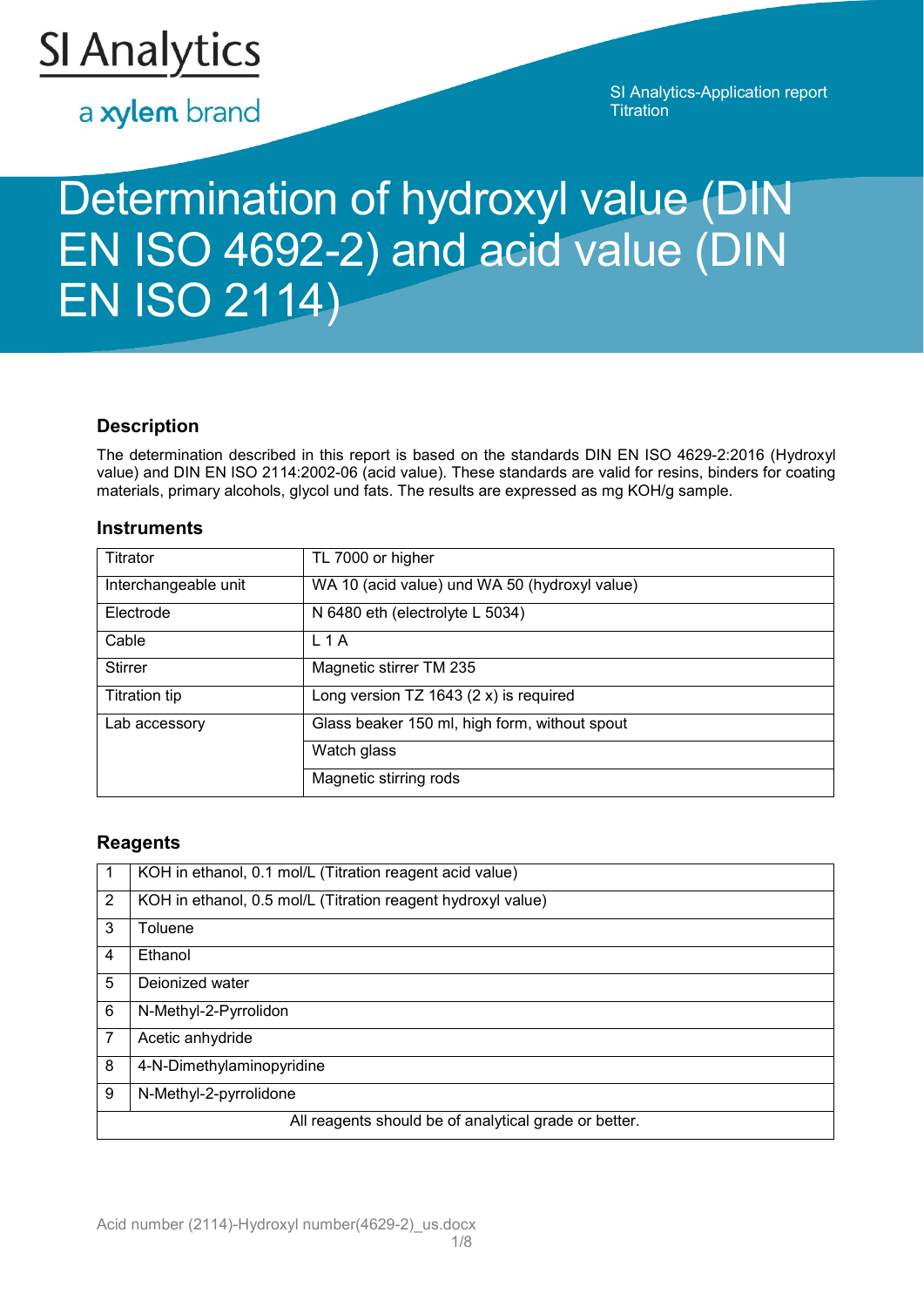

a xylem brand

SI Analytics-Application report **Titration** 

# Determination of hydroxyl value (DIN EN ISO 4692-2) and acid value (DIN EN ISO 2114)

# **Description**

The determination described in this report is based on the standards DIN EN ISO 4629-2:2016 (Hydroxyl value) and DIN EN ISO 2114:2002-06 (acid value). These standards are valid for resins, binders for coating materials, primary alcohols, glycol und fats. The results are expressed as mg KOH/g sample.

## **Instruments**

| Titrator             | TL 7000 or higher                             |
|----------------------|-----------------------------------------------|
| Interchangeable unit | WA 10 (acid value) und WA 50 (hydroxyl value) |
| Electrode            | N 6480 eth (electrolyte L 5034)               |
| Cable                | $L$ 1 A                                       |
| <b>Stirrer</b>       | Magnetic stirrer TM 235                       |
| <b>Titration tip</b> | Long version $TZ$ 1643 (2 x) is required      |
| Lab accessory        | Glass beaker 150 ml, high form, without spout |
|                      | Watch glass                                   |
|                      | Magnetic stirring rods                        |

# **Reagents**

|                | KOH in ethanol, 0.1 mol/L (Titration reagent acid value)     |
|----------------|--------------------------------------------------------------|
| $\overline{2}$ | KOH in ethanol, 0.5 mol/L (Titration reagent hydroxyl value) |
| 3              | Toluene                                                      |
| 4              | Ethanol                                                      |
| 5              | Dejonized water                                              |
| 6              | N-Methyl-2-Pyrrolidon                                        |
| 7              | Acetic anhydride                                             |
| 8              | 4-N-Dimethylaminopyridine                                    |
| 9              | N-Methyl-2-pyrrolidone                                       |
|                | All reagents should be of analytical grade or better.        |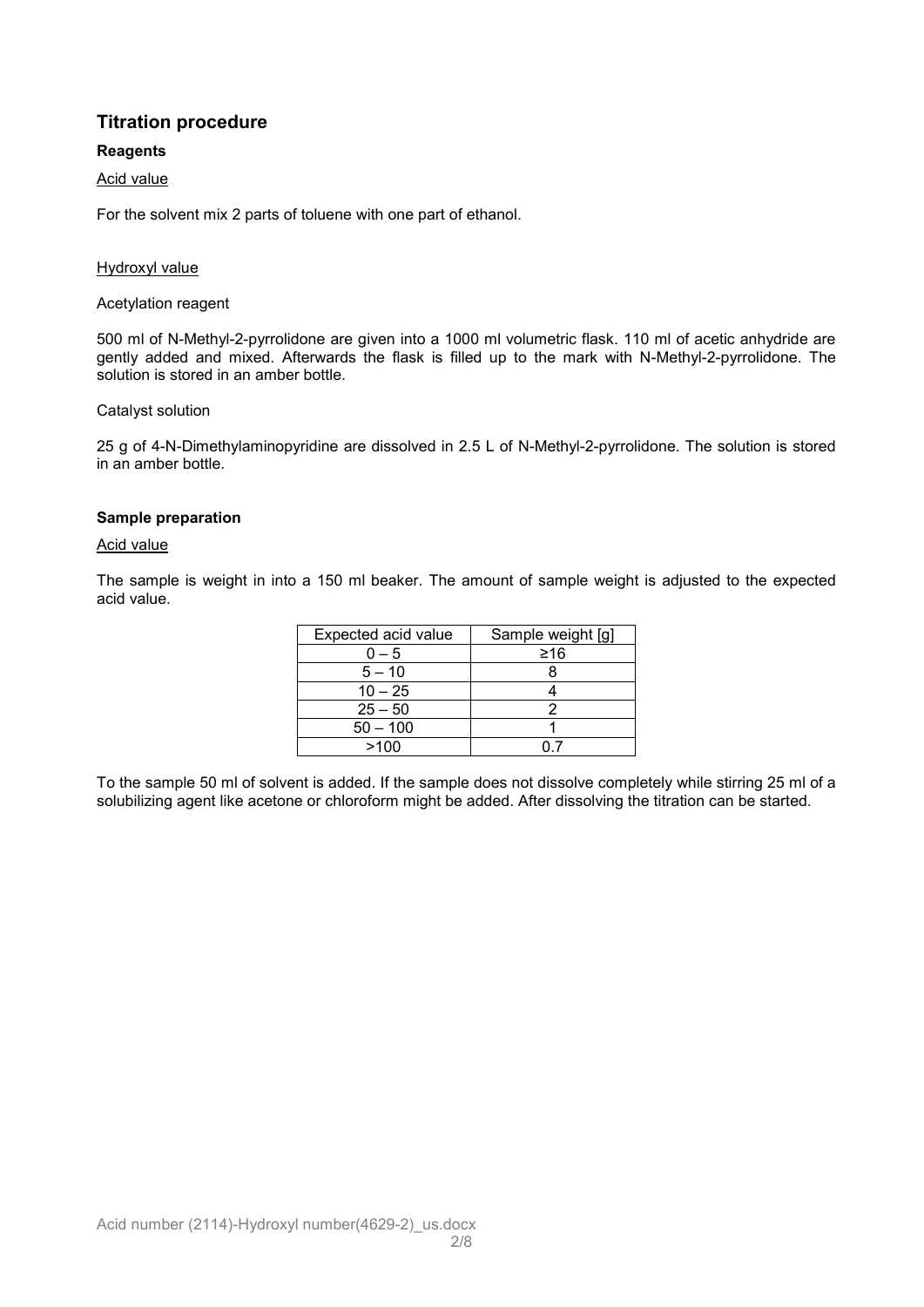# **Titration procedure**

## **Reagents**

## Acid value

For the solvent mix 2 parts of toluene with one part of ethanol.

#### Hydroxyl value

#### Acetylation reagent

500 ml of N-Methyl-2-pyrrolidone are given into a 1000 ml volumetric flask. 110 ml of acetic anhydride are gently added and mixed. Afterwards the flask is filled up to the mark with N-Methyl-2-pyrrolidone. The solution is stored in an amber bottle.

#### Catalyst solution

25 g of 4-N-Dimethylaminopyridine are dissolved in 2.5 L of N-Methyl-2-pyrrolidone. The solution is stored in an amber bottle.

#### **Sample preparation**

#### Acid value

The sample is weight in into a 150 ml beaker. The amount of sample weight is adjusted to the expected acid value.

| Expected acid value | Sample weight [g] |
|---------------------|-------------------|
| $0 - 5$             | ≥16               |
| $5 - 10$            |                   |
| $10 - 25$           |                   |
| $25 - 50$           |                   |
| $50 - 100$          |                   |
| >100                |                   |

To the sample 50 ml of solvent is added. If the sample does not dissolve completely while stirring 25 ml of a solubilizing agent like acetone or chloroform might be added. After dissolving the titration can be started.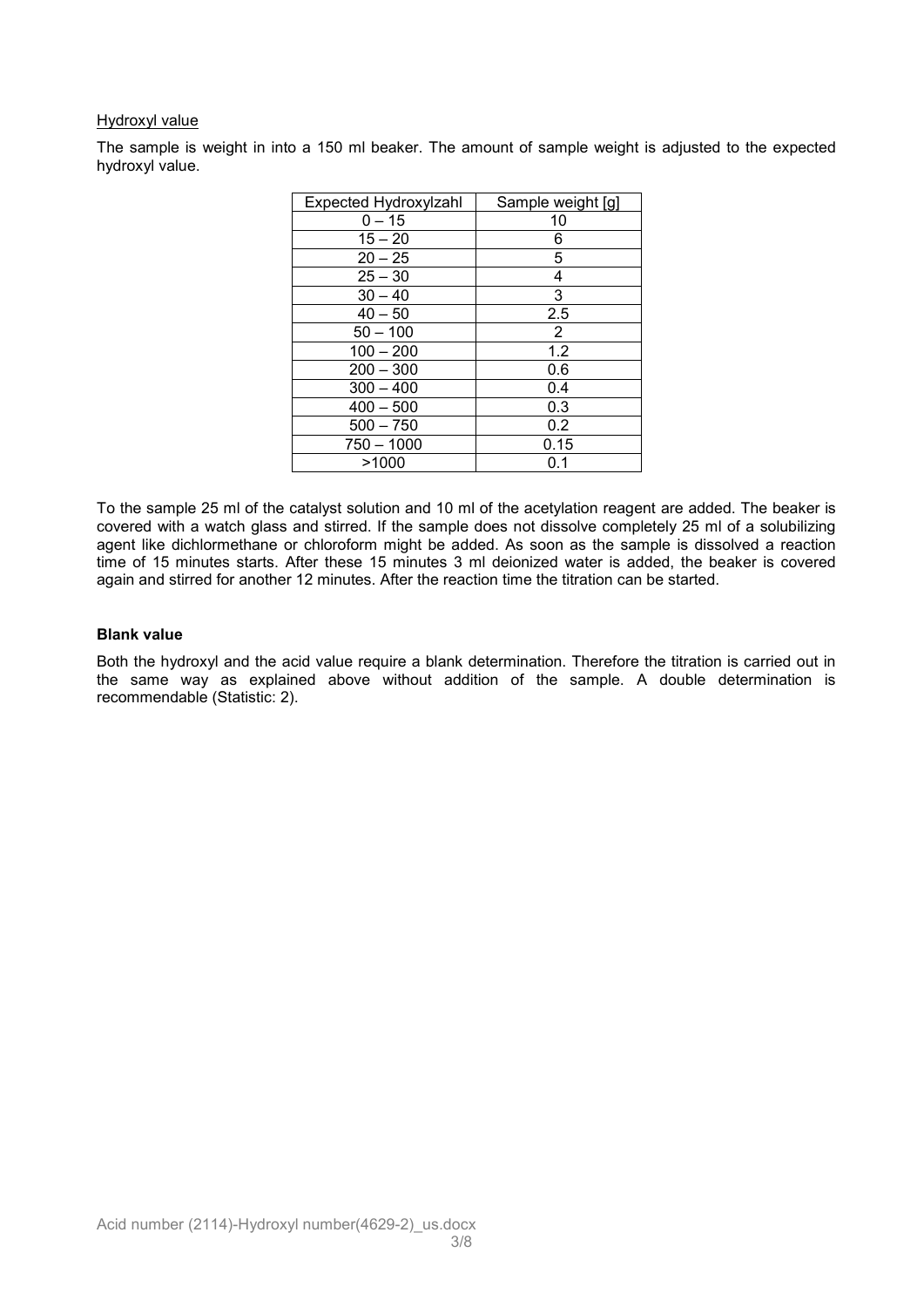#### Hydroxyl value

The sample is weight in into a 150 ml beaker. The amount of sample weight is adjusted to the expected hydroxyl value.

| Expected Hydroxylzahl | Sample weight [g] |
|-----------------------|-------------------|
| $0 - 15$              | 10                |
| $15 - 20$             | 6                 |
| $20 - 25$             | 5                 |
| $25 - 30$             | 4                 |
| $30 - 40$             | 3                 |
| $40 - 50$             | 2.5               |
| $50 - 100$            | $\overline{2}$    |
| $100 - 200$           | 1.2               |
| $200 - 300$           | 0.6               |
| $300 - 400$           | 0.4               |
| $400 - 500$           | 0.3               |
| $500 - 750$           | 0.2               |
| $750 - 1000$          | 0.15              |
| >1000                 | 0.1               |

To the sample 25 ml of the catalyst solution and 10 ml of the acetylation reagent are added. The beaker is covered with a watch glass and stirred. If the sample does not dissolve completely 25 ml of a solubilizing agent like dichlormethane or chloroform might be added. As soon as the sample is dissolved a reaction time of 15 minutes starts. After these 15 minutes 3 ml deionized water is added, the beaker is covered again and stirred for another 12 minutes. After the reaction time the titration can be started.

#### **Blank value**

Both the hydroxyl and the acid value require a blank determination. Therefore the titration is carried out in the same way as explained above without addition of the sample. A double determination is recommendable (Statistic: 2).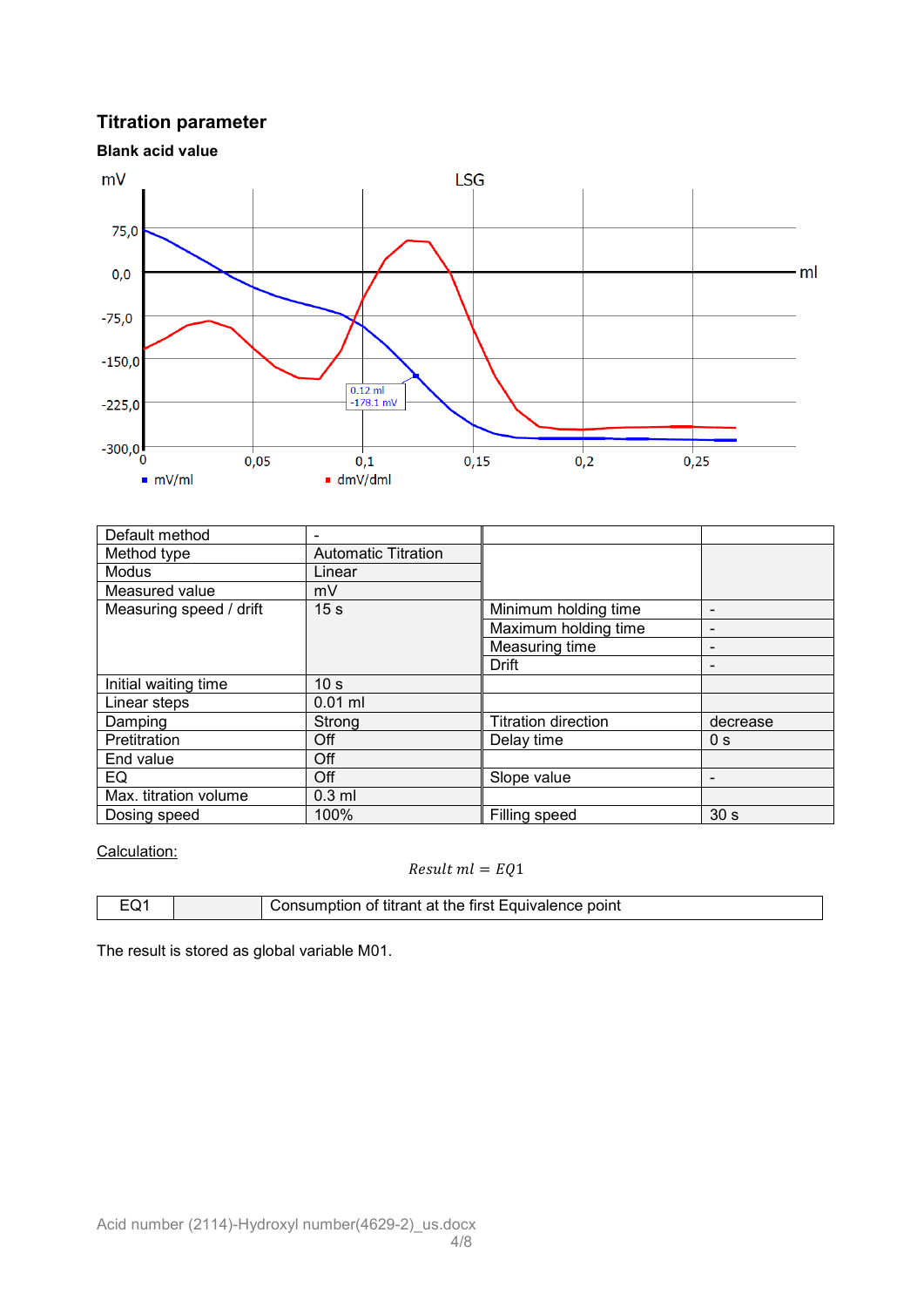# **Titration parameter**



| Default method          | $\overline{\phantom{0}}$   |                            |                              |
|-------------------------|----------------------------|----------------------------|------------------------------|
| Method type             | <b>Automatic Titration</b> |                            |                              |
| <b>Modus</b>            | Linear                     |                            |                              |
| Measured value          | mV                         |                            |                              |
| Measuring speed / drift | 15 <sub>s</sub>            | Minimum holding time       | $\qquad \qquad -$            |
|                         |                            | Maximum holding time       | $\qquad \qquad -$            |
|                         |                            | Measuring time             | $\qquad \qquad -$            |
|                         |                            | Drift                      | $\qquad \qquad \blacksquare$ |
| Initial waiting time    | 10 <sub>s</sub>            |                            |                              |
| Linear steps            | $0.01$ ml                  |                            |                              |
| Damping                 | Strong                     | <b>Titration direction</b> | decrease                     |
| Pretitration            | Off                        | Delay time                 | 0 <sub>s</sub>               |
| End value               | Off                        |                            |                              |
| EQ                      | Off                        | Slope value                | $\overline{\phantom{a}}$     |
| Max. titration volume   | $0.3$ ml                   |                            |                              |
| Dosing speed            | 100%                       | Filling speed              | 30 <sub>s</sub>              |

Calculation:

## $Result \, ml = EQ1$

| Consumption of titrant at the first Equivalence point<br>-∩1 |  |
|--------------------------------------------------------------|--|

The result is stored as global variable M01.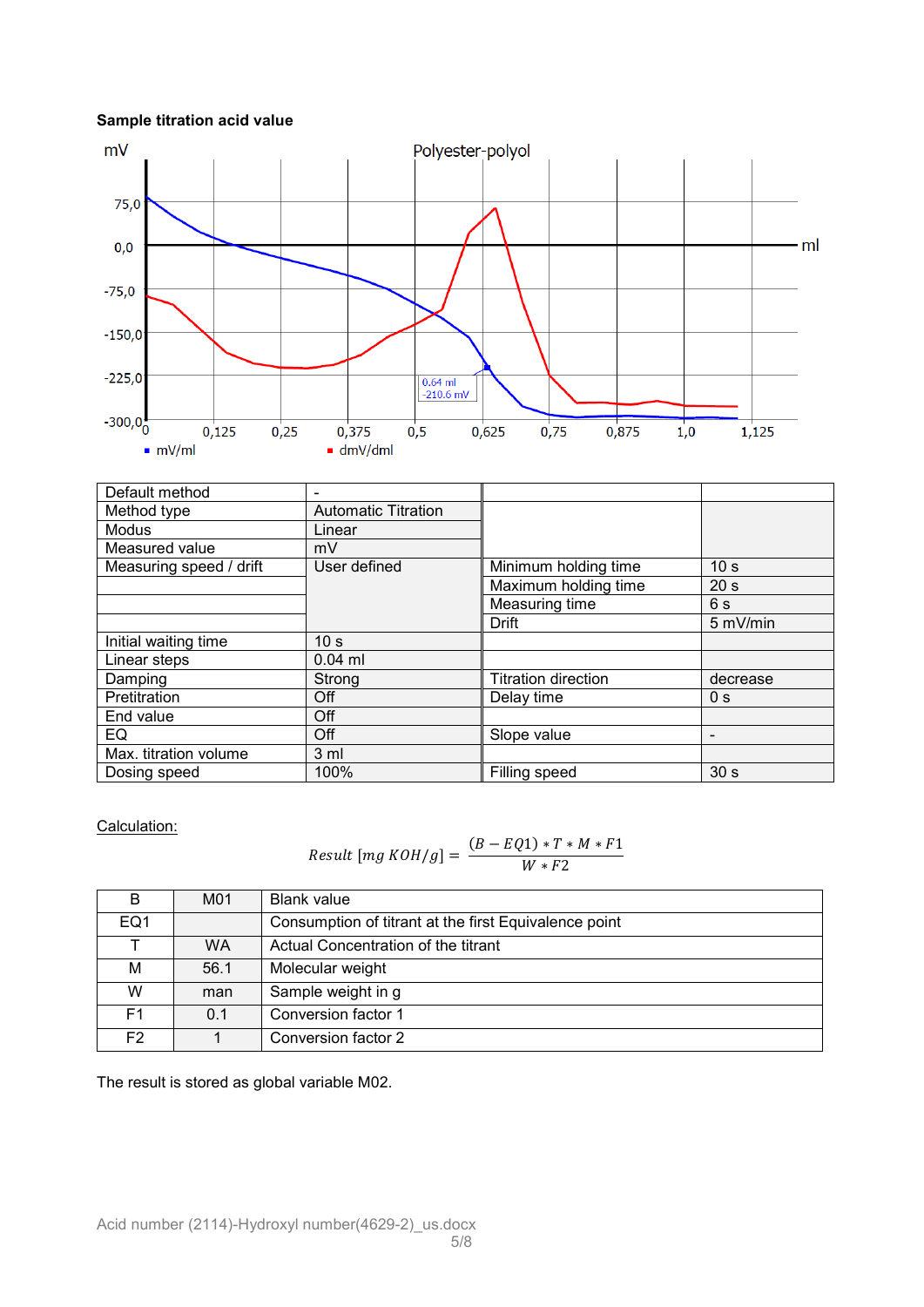## **Sample titration acid value**



| Default method          |                            |                            |                          |
|-------------------------|----------------------------|----------------------------|--------------------------|
| Method type             | <b>Automatic Titration</b> |                            |                          |
| <b>Modus</b>            | Linear                     |                            |                          |
| Measured value          | mV                         |                            |                          |
| Measuring speed / drift | User defined               | Minimum holding time       | 10 <sub>s</sub>          |
|                         |                            | Maximum holding time       | 20 <sub>s</sub>          |
|                         |                            | Measuring time             | 6s                       |
|                         |                            | Drift                      | 5 mV/min                 |
| Initial waiting time    | 10 <sub>s</sub>            |                            |                          |
| Linear steps            | $0.04$ ml                  |                            |                          |
| Damping                 | Strong                     | <b>Titration direction</b> | decrease                 |
| Pretitration            | Off                        | Delay time                 | 0 <sub>s</sub>           |
| End value               | Off                        |                            |                          |
| EQ.                     | Off                        | Slope value                | $\overline{\phantom{a}}$ |
| Max. titration volume   | 3 <sub>m</sub>             |                            |                          |
| Dosing speed            | 100%                       | Filling speed              | 30 <sub>s</sub>          |

Calculation:

$$
Result [mg KOH/g] = \frac{(B - EQ1) * T * M * F1}{W * F2}
$$

| B              | M01  | <b>Blank value</b>                                    |
|----------------|------|-------------------------------------------------------|
| EQ1            |      | Consumption of titrant at the first Equivalence point |
|                | WA   | Actual Concentration of the titrant                   |
| М              | 56.1 | Molecular weight                                      |
| W              | man  | Sample weight in g                                    |
| F <sub>1</sub> | 0.1  | Conversion factor 1                                   |
| F <sub>2</sub> |      | Conversion factor 2                                   |

The result is stored as global variable M02.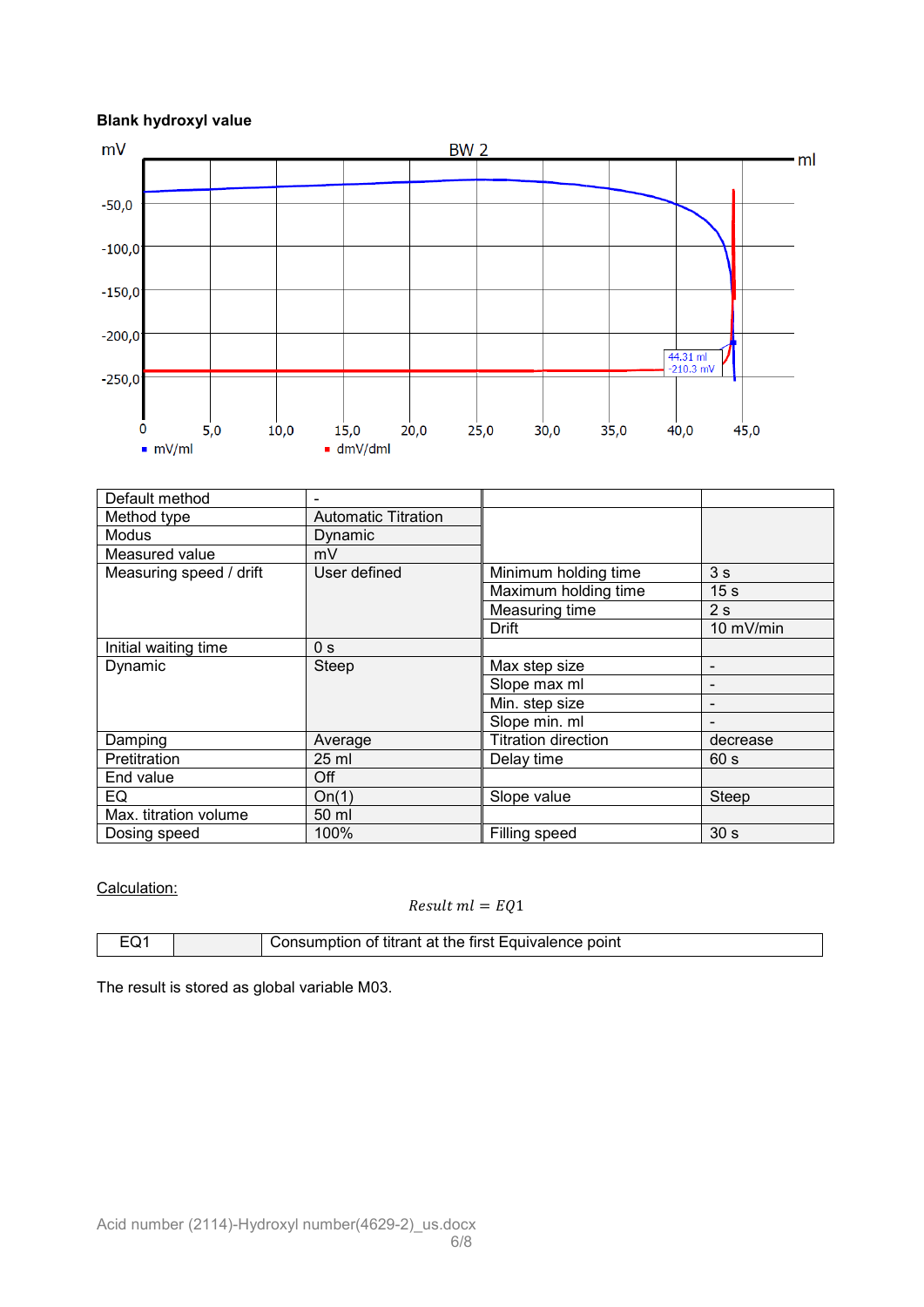# **Blank hydroxyl value**



| Default method          | $\overline{\phantom{a}}$   |                            |                          |
|-------------------------|----------------------------|----------------------------|--------------------------|
| Method type             | <b>Automatic Titration</b> |                            |                          |
| Modus                   | Dynamic                    |                            |                          |
| Measured value          | mV                         |                            |                          |
| Measuring speed / drift | User defined               | Minimum holding time       | 3s                       |
|                         |                            | Maximum holding time       | 15 <sub>s</sub>          |
|                         |                            | Measuring time             | 2s                       |
|                         |                            | Drift                      | 10 mV/min                |
| Initial waiting time    | 0 <sub>s</sub>             |                            |                          |
| Dynamic                 | <b>Steep</b>               | Max step size              | $\overline{\phantom{0}}$ |
|                         |                            | Slope max ml               | $\overline{\phantom{0}}$ |
|                         |                            | Min. step size             | -                        |
|                         |                            | Slope min. ml              |                          |
| Damping                 | Average                    | <b>Titration direction</b> | decrease                 |
| Pretitration            | $25$ ml                    | Delay time                 | 60 s                     |
| End value               | Off                        |                            |                          |
| EQ                      | On(1)                      | Slope value                | Steep                    |
| Max. titration volume   | 50 ml                      |                            |                          |
| Dosing speed            | 100%                       | Filling speed              | 30 <sub>s</sub>          |

#### Calculation:

## $Result \; ml = EQ1$

| ⊏∩1 | Consumption of titrant at the first Equivalence point |
|-----|-------------------------------------------------------|

The result is stored as global variable M03.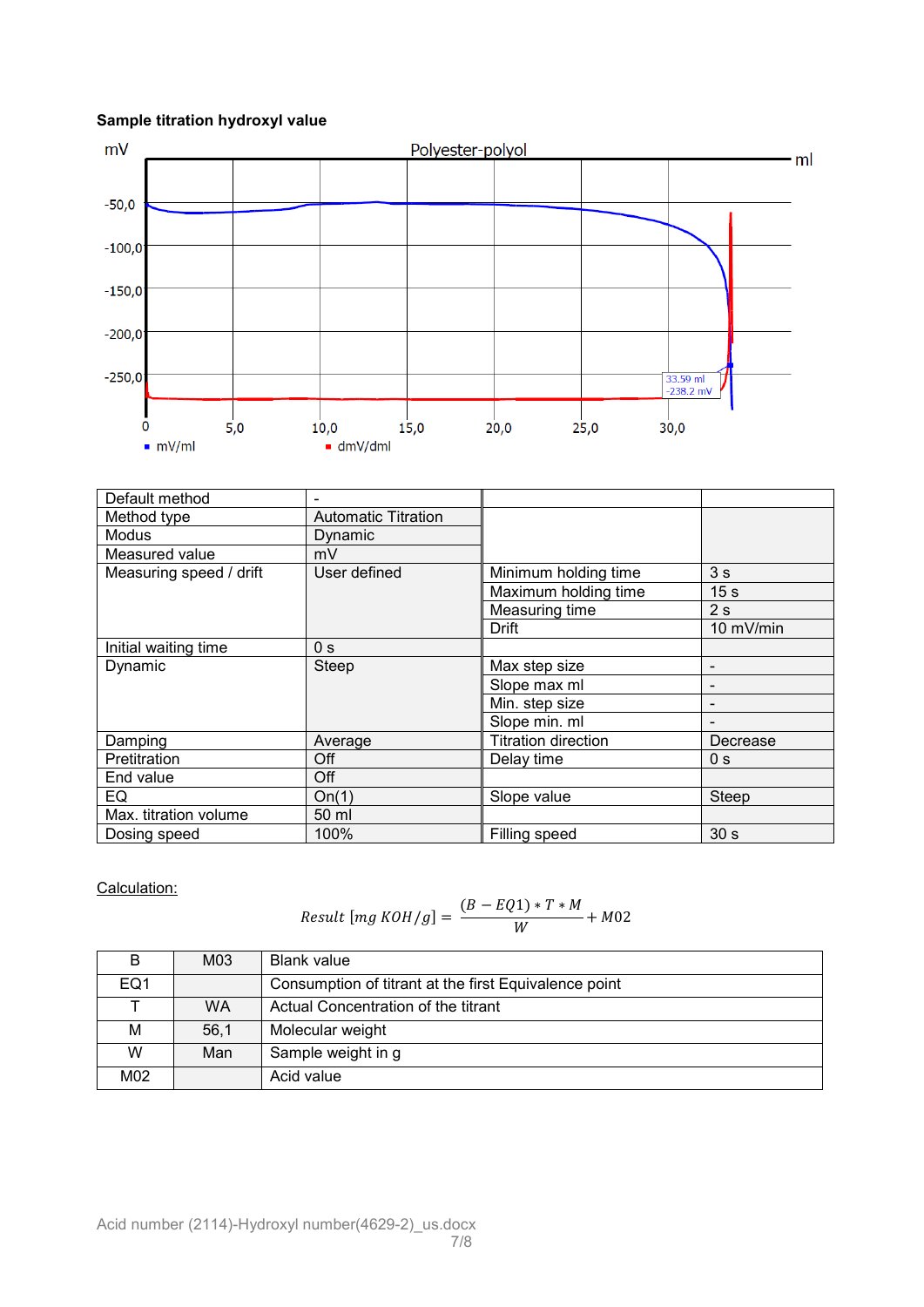# **Sample titration hydroxyl value**



| Default method          |                            |                            |                          |
|-------------------------|----------------------------|----------------------------|--------------------------|
| Method type             | <b>Automatic Titration</b> |                            |                          |
| Modus                   | Dynamic                    |                            |                          |
| Measured value          | mV                         |                            |                          |
| Measuring speed / drift | User defined               | Minimum holding time       | 3 <sub>s</sub>           |
|                         |                            | Maximum holding time       | 15 <sub>s</sub>          |
|                         |                            | Measuring time             | 2s                       |
|                         |                            | Drift                      | 10 mV/min                |
| Initial waiting time    | 0 <sub>s</sub>             |                            |                          |
| Dynamic                 | Steep                      | Max step size              | $\overline{\phantom{0}}$ |
|                         |                            | Slope max ml               |                          |
|                         |                            | Min. step size             | $\overline{\phantom{0}}$ |
|                         |                            | Slope min. ml              |                          |
| Damping                 | Average                    | <b>Titration direction</b> | Decrease                 |
| Pretitration            | Off                        | Delay time                 | 0 <sub>s</sub>           |
| End value               | Off                        |                            |                          |
| EQ                      | On(1)                      | Slope value                | <b>Steep</b>             |
| Max. titration volume   | 50 ml                      |                            |                          |
| Dosing speed            | 100%                       | Filling speed              | 30 <sub>s</sub>          |

Calculation:

$$
Result \left[ mg \ KOH/g \right] = \frac{(B - EQ1) * T * M}{W} + M02
$$

|     | M03  | Blank value                                           |
|-----|------|-------------------------------------------------------|
| EQ1 |      | Consumption of titrant at the first Equivalence point |
|     | WA   | Actual Concentration of the titrant                   |
| м   | 56.1 | Molecular weight                                      |
| W   | Man  | Sample weight in g                                    |
| M02 |      | Acid value                                            |